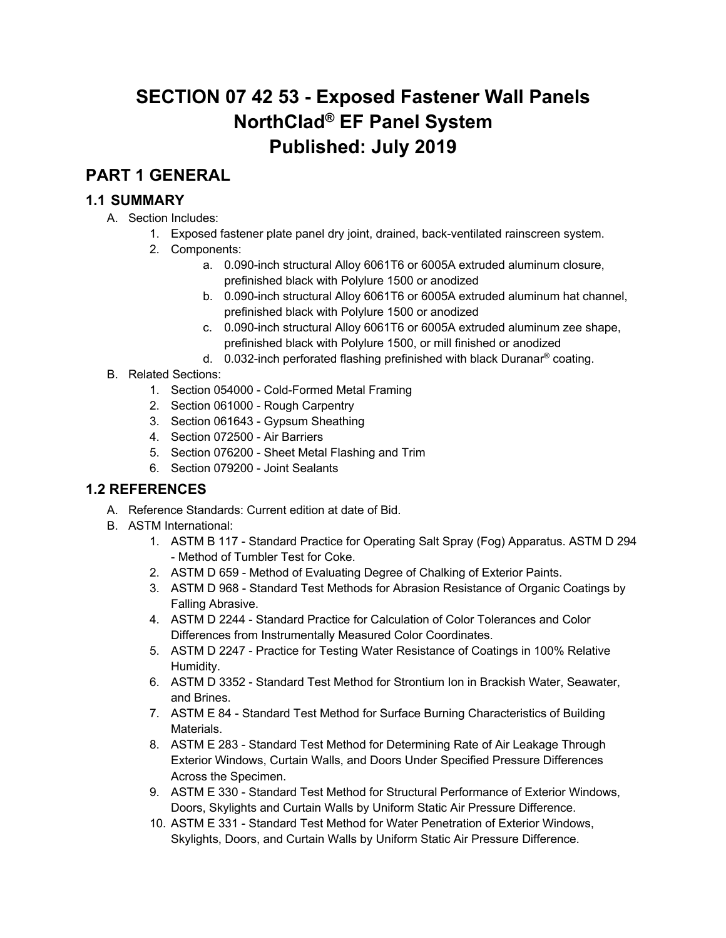# **SECTION 07 42 53 - Exposed Fastener Wall Panels NorthClad® EF Panel System Published: July 2019**

## **PART 1 GENERAL**

## **1.1 SUMMARY**

- A. Section Includes:
	- 1. Exposed fastener plate panel dry joint, drained, back-ventilated rainscreen system.
	- 2. Components:
		- a. 0.090-inch structural Alloy 6061T6 or 6005A extruded aluminum closure, prefinished black with Polylure 1500 or anodized
		- b. 0.090-inch structural Alloy 6061T6 or 6005A extruded aluminum hat channel, prefinished black with Polylure 1500 or anodized
		- c. 0.090-inch structural Alloy 6061T6 or 6005A extruded aluminum zee shape, prefinished black with Polylure 1500, or mill finished or anodized
		- d. 0.032-inch perforated flashing prefinished with black Duranar® coating.
- B. Related Sections:
	- 1. Section 054000 Cold-Formed Metal Framing
	- 2. Section 061000 Rough Carpentry
	- 3. Section 061643 Gypsum Sheathing
	- 4. Section 072500 Air Barriers
	- 5. Section 076200 Sheet Metal Flashing and Trim
	- 6. Section 079200 Joint Sealants

### **1.2 REFERENCES**

- A. Reference Standards: Current edition at date of Bid.
- B. ASTM International:
	- 1. ASTM B 117 Standard Practice for Operating Salt Spray (Fog) Apparatus. ASTM D 294 - Method of Tumbler Test for Coke.
	- 2. ASTM D 659 Method of Evaluating Degree of Chalking of Exterior Paints.
	- 3. ASTM D 968 Standard Test Methods for Abrasion Resistance of Organic Coatings by Falling Abrasive.
	- 4. ASTM D 2244 Standard Practice for Calculation of Color Tolerances and Color Differences from Instrumentally Measured Color Coordinates.
	- 5. ASTM D 2247 Practice for Testing Water Resistance of Coatings in 100% Relative Humidity.
	- 6. ASTM D 3352 Standard Test Method for Strontium Ion in Brackish Water, Seawater, and Brines.
	- 7. ASTM E 84 Standard Test Method for Surface Burning Characteristics of Building Materials.
	- 8. ASTM E 283 Standard Test Method for Determining Rate of Air Leakage Through Exterior Windows, Curtain Walls, and Doors Under Specified Pressure Differences Across the Specimen.
	- 9. ASTM E 330 Standard Test Method for Structural Performance of Exterior Windows, Doors, Skylights and Curtain Walls by Uniform Static Air Pressure Difference.
	- 10. ASTM E 331 Standard Test Method for Water Penetration of Exterior Windows, Skylights, Doors, and Curtain Walls by Uniform Static Air Pressure Difference.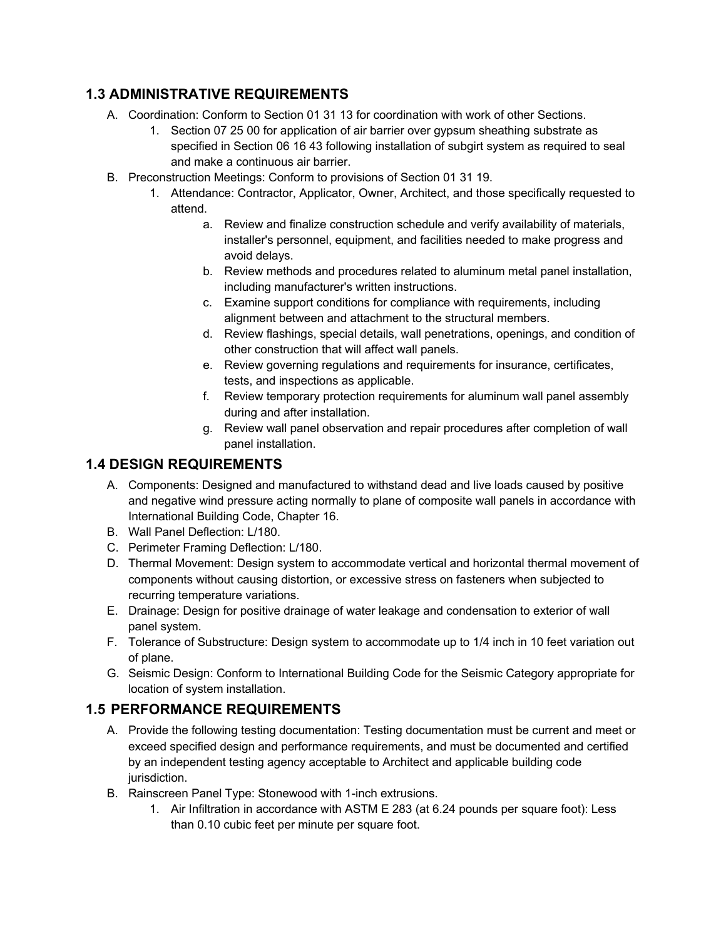## **1.3 ADMINISTRATIVE REQUIREMENTS**

- A. Coordination: Conform to Section 01 31 13 for coordination with work of other Sections.
	- 1. Section 07 25 00 for application of air barrier over gypsum sheathing substrate as specified in Section 06 16 43 following installation of subgirt system as required to seal and make a continuous air barrier.
- B. Preconstruction Meetings: Conform to provisions of Section 01 31 19.
	- 1. Attendance: Contractor, Applicator, Owner, Architect, and those specifically requested to attend.
		- a. Review and finalize construction schedule and verify availability of materials, installer's personnel, equipment, and facilities needed to make progress and avoid delays.
		- b. Review methods and procedures related to aluminum metal panel installation, including manufacturer's written instructions.
		- c. Examine support conditions for compliance with requirements, including alignment between and attachment to the structural members.
		- d. Review flashings, special details, wall penetrations, openings, and condition of other construction that will affect wall panels.
		- e. Review governing regulations and requirements for insurance, certificates, tests, and inspections as applicable.
		- f. Review temporary protection requirements for aluminum wall panel assembly during and after installation.
		- g. Review wall panel observation and repair procedures after completion of wall panel installation.

## **1.4 DESIGN REQUIREMENTS**

- A. Components: Designed and manufactured to withstand dead and live loads caused by positive and negative wind pressure acting normally to plane of composite wall panels in accordance with International Building Code, Chapter 16.
- B. Wall Panel Deflection: L/180.
- C. Perimeter Framing Deflection: L/180.
- D. Thermal Movement: Design system to accommodate vertical and horizontal thermal movement of components without causing distortion, or excessive stress on fasteners when subjected to recurring temperature variations.
- E. Drainage: Design for positive drainage of water leakage and condensation to exterior of wall panel system.
- F. Tolerance of Substructure: Design system to accommodate up to 1/4 inch in 10 feet variation out of plane.
- G. Seismic Design: Conform to International Building Code for the Seismic Category appropriate for location of system installation.

### **1.5 PERFORMANCE REQUIREMENTS**

- A. Provide the following testing documentation: Testing documentation must be current and meet or exceed specified design and performance requirements, and must be documented and certified by an independent testing agency acceptable to Architect and applicable building code jurisdiction.
- B. Rainscreen Panel Type: Stonewood with 1-inch extrusions.
	- 1. Air Infiltration in accordance with ASTM E 283 (at 6.24 pounds per square foot): Less than 0.10 cubic feet per minute per square foot.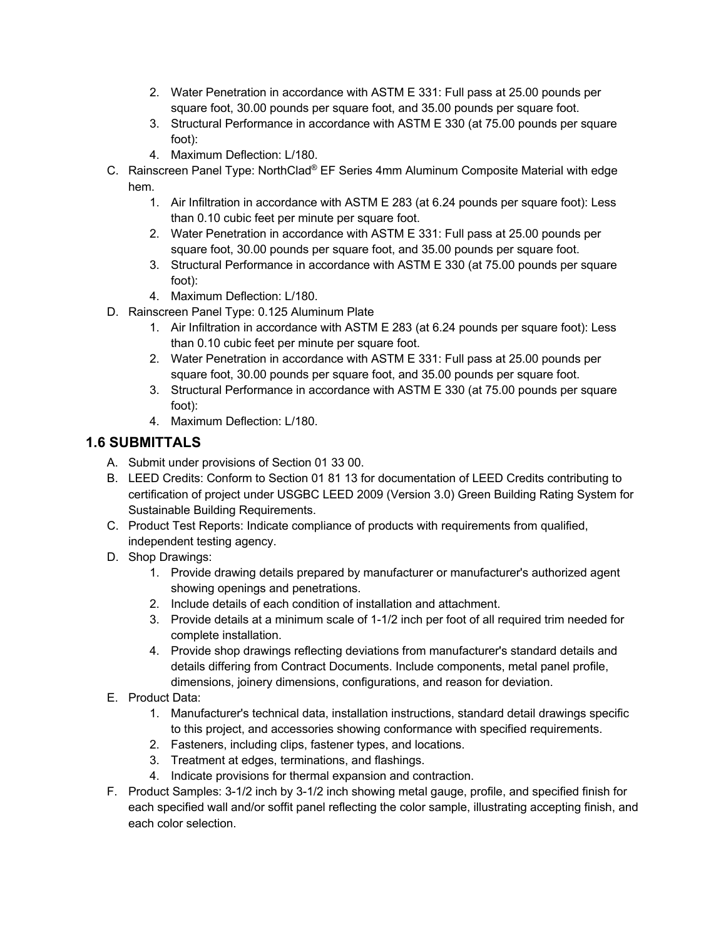- 2. Water Penetration in accordance with ASTM E 331: Full pass at 25.00 pounds per square foot, 30.00 pounds per square foot, and 35.00 pounds per square foot.
- 3. Structural Performance in accordance with ASTM E 330 (at 75.00 pounds per square foot):
- 4. Maximum Deflection: L/180.
- C. Rainscreen Panel Type: NorthClad® EF Series 4mm Aluminum Composite Material with edge hem.
	- 1. Air Infiltration in accordance with ASTM E 283 (at 6.24 pounds per square foot): Less than 0.10 cubic feet per minute per square foot.
	- 2. Water Penetration in accordance with ASTM E 331: Full pass at 25.00 pounds per square foot, 30.00 pounds per square foot, and 35.00 pounds per square foot.
	- 3. Structural Performance in accordance with ASTM E 330 (at 75.00 pounds per square foot):
	- 4. Maximum Deflection: L/180.
- D. Rainscreen Panel Type: 0.125 Aluminum Plate
	- 1. Air Infiltration in accordance with ASTM E 283 (at 6.24 pounds per square foot): Less than 0.10 cubic feet per minute per square foot.
	- 2. Water Penetration in accordance with ASTM E 331: Full pass at 25.00 pounds per square foot, 30.00 pounds per square foot, and 35.00 pounds per square foot.
	- 3. Structural Performance in accordance with ASTM E 330 (at 75.00 pounds per square foot):
	- 4. Maximum Deflection: L/180.

#### **1.6 SUBMITTALS**

- A. Submit under provisions of Section 01 33 00.
- B. LEED Credits: Conform to Section 01 81 13 for documentation of LEED Credits contributing to certification of project under USGBC LEED 2009 (Version 3.0) Green Building Rating System for Sustainable Building Requirements.
- C. Product Test Reports: Indicate compliance of products with requirements from qualified, independent testing agency.
- D. Shop Drawings:
	- 1. Provide drawing details prepared by manufacturer or manufacturer's authorized agent showing openings and penetrations.
	- 2. Include details of each condition of installation and attachment.
	- 3. Provide details at a minimum scale of 1-1/2 inch per foot of all required trim needed for complete installation.
	- 4. Provide shop drawings reflecting deviations from manufacturer's standard details and details differing from Contract Documents. Include components, metal panel profile, dimensions, joinery dimensions, configurations, and reason for deviation.
- E. Product Data:
	- 1. Manufacturer's technical data, installation instructions, standard detail drawings specific to this project, and accessories showing conformance with specified requirements.
	- 2. Fasteners, including clips, fastener types, and locations.
	- 3. Treatment at edges, terminations, and flashings.
	- 4. Indicate provisions for thermal expansion and contraction.
- F. Product Samples: 3-1/2 inch by 3-1/2 inch showing metal gauge, profile, and specified finish for each specified wall and/or soffit panel reflecting the color sample, illustrating accepting finish, and each color selection.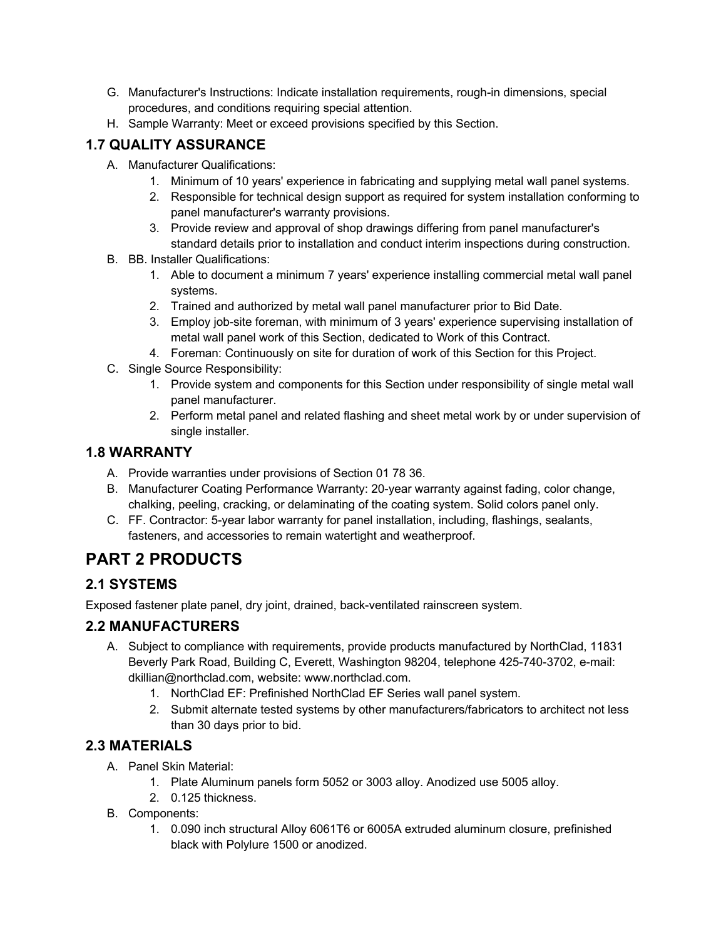- G. Manufacturer's Instructions: Indicate installation requirements, rough-in dimensions, special procedures, and conditions requiring special attention.
- H. Sample Warranty: Meet or exceed provisions specified by this Section.

## **1.7 QUALITY ASSURANCE**

- A. Manufacturer Qualifications:
	- 1. Minimum of 10 years' experience in fabricating and supplying metal wall panel systems.
	- 2. Responsible for technical design support as required for system installation conforming to panel manufacturer's warranty provisions.
	- 3. Provide review and approval of shop drawings differing from panel manufacturer's standard details prior to installation and conduct interim inspections during construction.
- B. BB. Installer Qualifications:
	- 1. Able to document a minimum 7 years' experience installing commercial metal wall panel systems.
	- 2. Trained and authorized by metal wall panel manufacturer prior to Bid Date.
	- 3. Employ job-site foreman, with minimum of 3 years' experience supervising installation of metal wall panel work of this Section, dedicated to Work of this Contract.
	- 4. Foreman: Continuously on site for duration of work of this Section for this Project.
- C. Single Source Responsibility:
	- 1. Provide system and components for this Section under responsibility of single metal wall panel manufacturer.
	- 2. Perform metal panel and related flashing and sheet metal work by or under supervision of single installer.

### **1.8 WARRANTY**

- A. Provide warranties under provisions of Section 01 78 36.
- B. Manufacturer Coating Performance Warranty: 20-year warranty against fading, color change, chalking, peeling, cracking, or delaminating of the coating system. Solid colors panel only.
- C. FF. Contractor: 5-year labor warranty for panel installation, including, flashings, sealants, fasteners, and accessories to remain watertight and weatherproof.

## **PART 2 PRODUCTS**

## **2.1 SYSTEMS**

Exposed fastener plate panel, dry joint, drained, back-ventilated rainscreen system.

### **2.2 MANUFACTURERS**

- A. Subject to compliance with requirements, provide products manufactured by NorthClad, 11831 Beverly Park Road, Building C, Everett, Washington 98204, telephone 425-740-3702, e-mail: dkillian@northclad.com, website: www.northclad.com.
	- 1. NorthClad EF: Prefinished NorthClad EF Series wall panel system.
	- 2. Submit alternate tested systems by other manufacturers/fabricators to architect not less than 30 days prior to bid.

## **2.3 MATERIALS**

- A. Panel Skin Material:
	- 1. Plate Aluminum panels form 5052 or 3003 alloy. Anodized use 5005 alloy.
	- 2. 0.125 thickness.
- B. Components:
	- 1. 0.090 inch structural Alloy 6061T6 or 6005A extruded aluminum closure, prefinished black with Polylure 1500 or anodized.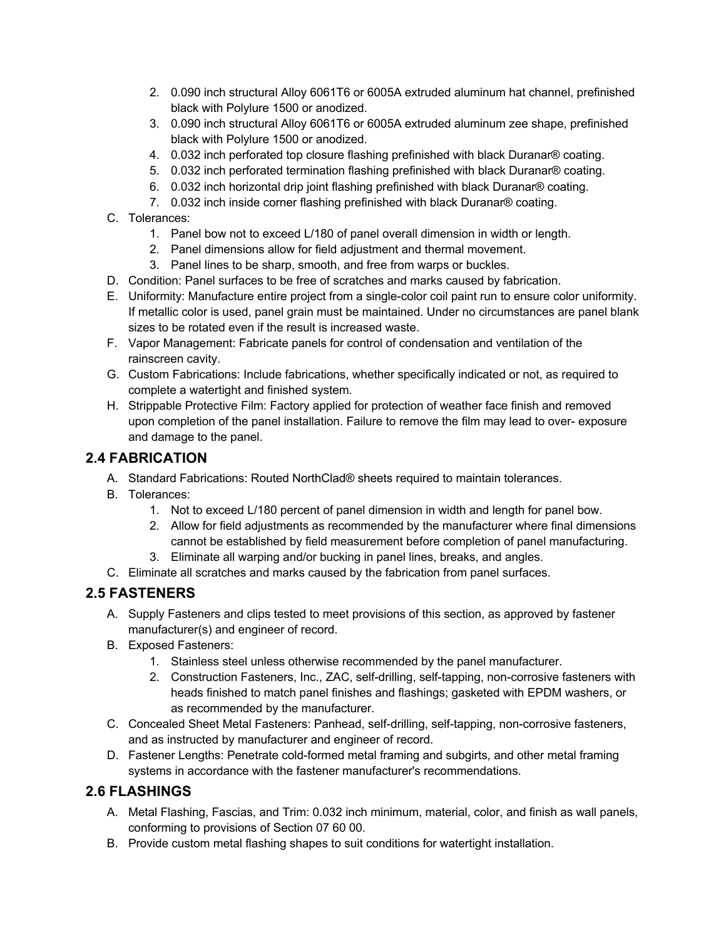- 2. 0.090 inch structural Alloy 6061T6 or 6005A extruded aluminum hat channel, prefinished black with Polylure 1500 or anodized.
- 3. 0.090 inch structural Alloy 6061T6 or 6005A extruded aluminum zee shape, prefinished black with Polylure 1500 or anodized.
- 4. 0.032 inch perforated top closure flashing prefinished with black Duranar® coating.
- 5. 0.032 inch perforated termination flashing prefinished with black Duranar® coating.
- 6. 0.032 inch horizontal drip joint flashing prefinished with black Duranar® coating.
- 7. 0.032 inch inside corner flashing prefinished with black Duranar® coating.
- C. Tolerances:
	- 1. Panel bow not to exceed L/180 of panel overall dimension in width or length.
	- 2. Panel dimensions allow for field adjustment and thermal movement.
	- 3. Panel lines to be sharp, smooth, and free from warps or buckles.
- D. Condition: Panel surfaces to be free of scratches and marks caused by fabrication.
- E. Uniformity: Manufacture entire project from a single-color coil paint run to ensure color uniformity. If metallic color is used, panel grain must be maintained. Under no circumstances are panel blank sizes to be rotated even if the result is increased waste.
- F. Vapor Management: Fabricate panels for control of condensation and ventilation of the rainscreen cavity.
- G. Custom Fabrications: Include fabrications, whether specifically indicated or not, as required to complete a watertight and finished system.
- H. Strippable Protective Film: Factory applied for protection of weather face finish and removed upon completion of the panel installation. Failure to remove the film may lead to over- exposure and damage to the panel.

#### **2.4 FABRICATION**

- A. Standard Fabrications: Routed NorthClad® sheets required to maintain tolerances.
- B. Tolerances:
	- 1. Not to exceed L/180 percent of panel dimension in width and length for panel bow.
	- 2. Allow for field adjustments as recommended by the manufacturer where final dimensions cannot be established by field measurement before completion of panel manufacturing.
	- 3. Eliminate all warping and/or bucking in panel lines, breaks, and angles.
- C. Eliminate all scratches and marks caused by the fabrication from panel surfaces.

#### **2.5 FASTENERS**

- A. Supply Fasteners and clips tested to meet provisions of this section, as approved by fastener manufacturer(s) and engineer of record.
- B. Exposed Fasteners:
	- 1. Stainless steel unless otherwise recommended by the panel manufacturer.
	- 2. Construction Fasteners, Inc., ZAC, self-drilling, self-tapping, non-corrosive fasteners with heads finished to match panel finishes and flashings; gasketed with EPDM washers, or as recommended by the manufacturer.
- C. Concealed Sheet Metal Fasteners: Panhead, self-drilling, self-tapping, non-corrosive fasteners, and as instructed by manufacturer and engineer of record.
- D. Fastener Lengths: Penetrate cold-formed metal framing and subgirts, and other metal framing systems in accordance with the fastener manufacturer's recommendations.

#### **2.6 FLASHINGS**

- A. Metal Flashing, Fascias, and Trim: 0.032 inch minimum, material, color, and finish as wall panels, conforming to provisions of Section 07 60 00.
- B. Provide custom metal flashing shapes to suit conditions for watertight installation.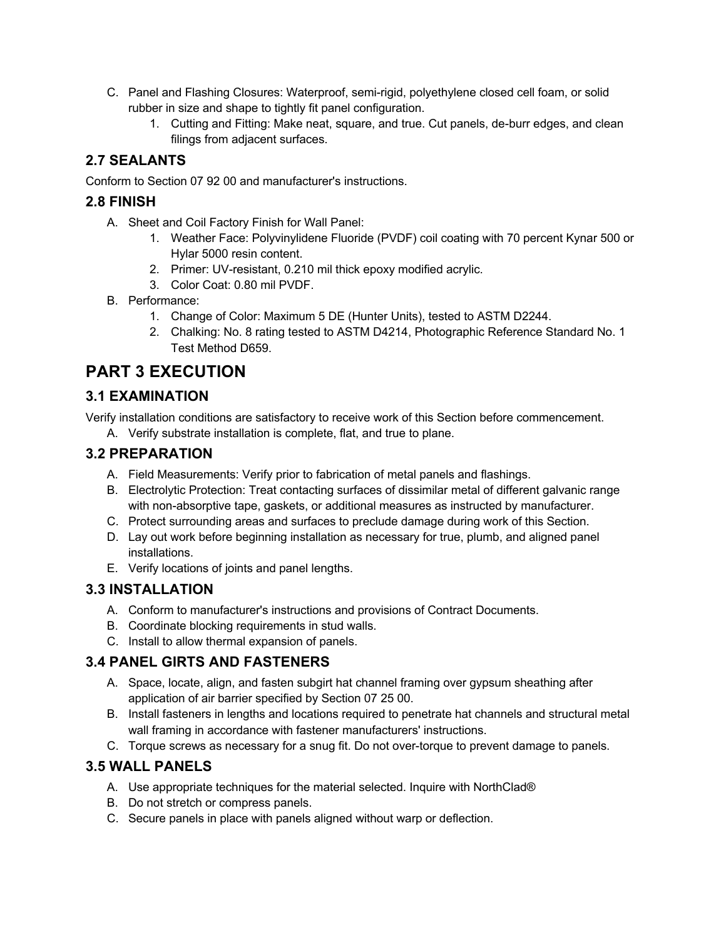- C. Panel and Flashing Closures: Waterproof, semi-rigid, polyethylene closed cell foam, or solid rubber in size and shape to tightly fit panel configuration.
	- 1. Cutting and Fitting: Make neat, square, and true. Cut panels, de-burr edges, and clean filings from adjacent surfaces.

## **2.7 SEALANTS**

Conform to Section 07 92 00 and manufacturer's instructions.

#### **2.8 FINISH**

- A. Sheet and Coil Factory Finish for Wall Panel:
	- 1. Weather Face: Polyvinylidene Fluoride (PVDF) coil coating with 70 percent Kynar 500 or Hylar 5000 resin content.
	- 2. Primer: UV-resistant, 0.210 mil thick epoxy modified acrylic.
	- 3. Color Coat: 0.80 mil PVDF.
- B. Performance:
	- 1. Change of Color: Maximum 5 DE (Hunter Units), tested to ASTM D2244.
	- 2. Chalking: No. 8 rating tested to ASTM D4214, Photographic Reference Standard No. 1 Test Method D659.

## **PART 3 EXECUTION**

## **3.1 EXAMINATION**

Verify installation conditions are satisfactory to receive work of this Section before commencement.

A. Verify substrate installation is complete, flat, and true to plane.

### **3.2 PREPARATION**

- A. Field Measurements: Verify prior to fabrication of metal panels and flashings.
- B. Electrolytic Protection: Treat contacting surfaces of dissimilar metal of different galvanic range with non-absorptive tape, gaskets, or additional measures as instructed by manufacturer.
- C. Protect surrounding areas and surfaces to preclude damage during work of this Section.
- D. Lay out work before beginning installation as necessary for true, plumb, and aligned panel installations.
- E. Verify locations of joints and panel lengths.

### **3.3 INSTALLATION**

- A. Conform to manufacturer's instructions and provisions of Contract Documents.
- B. Coordinate blocking requirements in stud walls.
- C. Install to allow thermal expansion of panels.

### **3.4 PANEL GIRTS AND FASTENERS**

- A. Space, locate, align, and fasten subgirt hat channel framing over gypsum sheathing after application of air barrier specified by Section 07 25 00.
- B. Install fasteners in lengths and locations required to penetrate hat channels and structural metal wall framing in accordance with fastener manufacturers' instructions.
- C. Torque screws as necessary for a snug fit. Do not over-torque to prevent damage to panels.

### **3.5 WALL PANELS**

- A. Use appropriate techniques for the material selected. Inquire with NorthClad®
- B. Do not stretch or compress panels.
- C. Secure panels in place with panels aligned without warp or deflection.